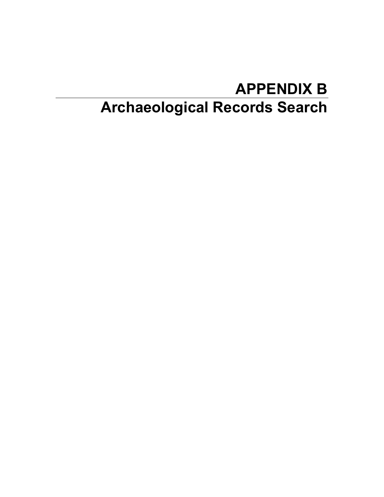# **APPENDIX B Archaeological Records Search**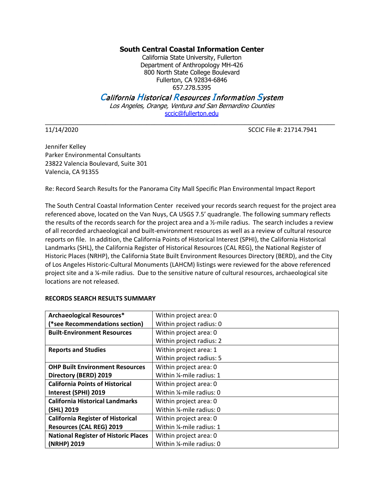### **South Central Coastal Information Center**

California State University, Fullerton Department of Anthropology MH-426 800 North State College Boulevard Fullerton, CA 92834-6846 657.278.5395

## California Historical Resources Information System

Los Angeles, Orange, Ventura and San Bernardino Counties sccic@fullerton.edu

 $\_$  ,  $\_$  ,  $\_$  ,  $\_$  ,  $\_$  ,  $\_$  ,  $\_$  ,  $\_$  ,  $\_$  ,  $\_$  ,  $\_$  ,  $\_$  ,  $\_$  ,  $\_$  ,  $\_$  ,  $\_$  ,  $\_$  ,  $\_$  ,  $\_$  ,  $\_$  ,  $\_$  ,  $\_$  ,  $\_$  ,  $\_$  ,  $\_$  ,  $\_$  ,  $\_$  ,  $\_$  ,  $\_$  ,  $\_$  ,  $\_$  ,  $\_$  ,  $\_$  ,  $\_$  ,  $\_$  ,  $\_$  ,  $\_$  ,

11/14/2020 SCCIC File #: 21714.7941

Jennifer Kelley Parker Environmental Consultants 23822 Valencia Boulevard, Suite 301 Valencia, CA 91355

Re: Record Search Results for the Panorama City Mall Specific Plan Environmental Impact Report

The South Central Coastal Information Center received your records search request for the project area referenced above, located on the Van Nuys, CA USGS 7.5' quadrangle. The following summary reflects the results of the records search for the project area and a ½-mile radius. The search includes a review of all recorded archaeological and built-environment resources as well as a review of cultural resource reports on file. In addition, the California Points of Historical Interest (SPHI), the California Historical Landmarks (SHL), the California Register of Historical Resources (CAL REG), the National Register of Historic Places (NRHP), the California State Built Environment Resources Directory (BERD), and the City of Los Angeles Historic-Cultural Monuments (LAHCM) listings were reviewed for the above referenced project site and a ¼-mile radius. Due to the sensitive nature of cultural resources, archaeological site locations are not released.

#### **RECORDS SEARCH RESULTS SUMMARY**

| <b>Archaeological Resources*</b>            | Within project area: 0                 |
|---------------------------------------------|----------------------------------------|
| (*see Recommendations section)              | Within project radius: 0               |
| <b>Built-Environment Resources</b>          | Within project area: 0                 |
|                                             | Within project radius: 2               |
| <b>Reports and Studies</b>                  | Within project area: 1                 |
|                                             | Within project radius: 5               |
| <b>OHP Built Environment Resources</b>      | Within project area: 0                 |
| Directory (BERD) 2019                       | Within 1/ <sub>2</sub> -mile radius: 1 |
| <b>California Points of Historical</b>      | Within project area: 0                 |
| Interest (SPHI) 2019                        | Within 1/ <sub>2</sub> -mile radius: 0 |
| <b>California Historical Landmarks</b>      | Within project area: 0                 |
| (SHL) 2019                                  | Within 1/ <sub>2</sub> -mile radius: 0 |
| <b>California Register of Historical</b>    | Within project area: 0                 |
| <b>Resources (CAL REG) 2019</b>             | Within 1/ <sub>2</sub> -mile radius: 1 |
| <b>National Register of Historic Places</b> | Within project area: 0                 |
| (NRHP) 2019                                 | Within 1/ <sub>2</sub> -mile radius: 0 |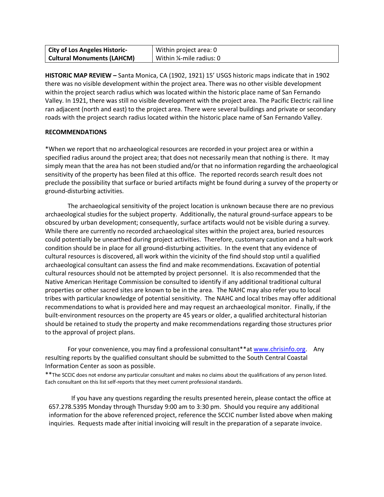| <b>City of Los Angeles Historic-</b> | Within project area: 0    |
|--------------------------------------|---------------------------|
| <b>Cultural Monuments (LAHCM)</b>    | Within 1/4-mile radius: 0 |

**HISTORIC MAP REVIEW –** Santa Monica, CA (1902, 1921) 15' USGS historic maps indicate that in 1902 there was no visible development within the project area. There was no other visible development within the project search radius which was located within the historic place name of San Fernando Valley. In 1921, there was still no visible development with the project area. The Pacific Electric rail line ran adjacent (north and east) to the project area. There were several buildings and private or secondary roads with the project search radius located within the historic place name of San Fernando Valley.

#### **RECOMMENDATIONS**

\*When we report that no archaeological resources are recorded in your project area or within a specified radius around the project area; that does not necessarily mean that nothing is there. It may simply mean that the area has not been studied and/or that no information regarding the archaeological sensitivity of the property has been filed at this office. The reported records search result does not preclude the possibility that surface or buried artifacts might be found during a survey of the property or ground-disturbing activities.

The archaeological sensitivity of the project location is unknown because there are no previous archaeological studies for the subject property. Additionally, the natural ground-surface appears to be obscured by urban development; consequently, surface artifacts would not be visible during a survey. While there are currently no recorded archaeological sites within the project area, buried resources could potentially be unearthed during project activities. Therefore, customary caution and a halt-work condition should be in place for all ground-disturbing activities. In the event that any evidence of cultural resources is discovered, all work within the vicinity of the find should stop until a qualified archaeological consultant can assess the find and make recommendations. Excavation of potential cultural resources should not be attempted by project personnel. It is also recommended that the Native American Heritage Commission be consulted to identify if any additional traditional cultural properties or other sacred sites are known to be in the area. The NAHC may also refer you to local tribes with particular knowledge of potential sensitivity. The NAHC and local tribes may offer additional recommendations to what is provided here and may request an archaeological monitor. Finally, if the built-environment resources on the property are 45 years or older, a qualified architectural historian should be retained to study the property and make recommendations regarding those structures prior to the approval of project plans.

For your convenience, you may find a professional consultant\*\*at www.chrisinfo.org. Any resulting reports by the qualified consultant should be submitted to the South Central Coastal Information Center as soon as possible.

\*\*The SCCIC does not endorse any particular consultant and makes no claims about the qualifications of any person listed. Each consultant on this list self-reports that they meet current professional standards.

If you have any questions regarding the results presented herein, please contact the office at 657.278.5395 Monday through Thursday 9:00 am to 3:30 pm. Should you require any additional information for the above referenced project, reference the SCCIC number listed above when making inquiries. Requests made after initial invoicing will result in the preparation of a separate invoice.